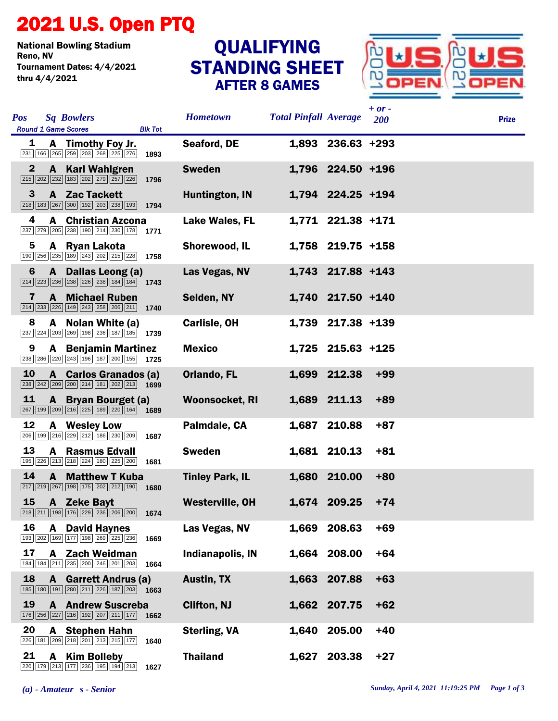## 2021 U.S. Open PTQ

National Bowling Stadium Tournament Dates: 4/4/2021 thru 4/4/2021

## STANDING SHEET AFTER 8 GAMES **QUALIFYING**



| <b>Pos</b>   |   | <b>Sq Bowlers</b><br><b>Round 1 Game Scores</b>                                                                                                      | <b>Blk Tot</b> | <b>Hometown</b>        | <b>Total Pinfall Average</b> |                     | $+ or -$<br><b>200</b> | <b>Prize</b> |
|--------------|---|------------------------------------------------------------------------------------------------------------------------------------------------------|----------------|------------------------|------------------------------|---------------------|------------------------|--------------|
| 1            |   | A Timothy Foy Jr.<br>$\boxed{231}$ $\boxed{166}$ $\boxed{265}$ $\boxed{259}$ $\boxed{203}$ $\boxed{268}$ $\boxed{225}$ $\boxed{276}$                 | 1893           | Seaford, DE            |                              | 1,893 236.63 +293   |                        |              |
| $\mathbf{2}$ |   | <b>A</b> Karl Wahlgren<br>215 202 232 183 202 279 257 226 1796                                                                                       |                | <b>Sweden</b>          |                              | 1,796 224.50 +196   |                        |              |
| 3            |   | A Zac Tackett<br>$\boxed{218}$ $\boxed{183}$ $\boxed{267}$ $\boxed{300}$ $\boxed{192}$ $\boxed{203}$ $\boxed{238}$ $\boxed{193}$ 1794                |                | Huntington, IN         |                              | 1,794 224.25 +194   |                        |              |
| 4            |   | <b>A</b> Christian Azcona<br>237 279 205 238 190 214 230 178 1771                                                                                    |                | <b>Lake Wales, FL</b>  |                              | 1,771 221.38 +171   |                        |              |
| 5            |   | A Ryan Lakota<br>190 256 235 189 243 202 215 228 1758                                                                                                |                | Shorewood, IL          |                              | $1,758$ 219.75 +158 |                        |              |
| 6            |   | A Dallas Leong (a)<br>$\boxed{214}$ $\boxed{223}$ $\boxed{236}$ $\boxed{238}$ $\boxed{226}$ $\boxed{238}$ $\boxed{184}$ $\boxed{184}$ $\boxed{1743}$ |                | Las Vegas, NV          |                              | 1,743 217.88 +143   |                        |              |
| 7            |   | <b>A</b> Michael Ruben<br>$\boxed{214}$ $\boxed{233}$ $\boxed{226}$ $\boxed{149}$ $\boxed{243}$ $\boxed{258}$ $\boxed{206}$ $\boxed{211}$ 1740       |                | Selden, NY             |                              | 1,740 217.50 +140   |                        |              |
| 8            |   | A Nolan White (a)<br>$\boxed{237}$ $\boxed{224}$ $\boxed{203}$ $\boxed{269}$ $\boxed{198}$ $\boxed{236}$ $\boxed{187}$ $\boxed{185}$ $\boxed{1739}$  |                | <b>Carlisle, OH</b>    |                              | 1,739 217.38 +139   |                        |              |
| 9            |   | <b>A</b> Benjamin Martinez<br>238 286 220 243 196 187 200 155 1725                                                                                   |                | <b>Mexico</b>          |                              | 1,725 215.63 +125   |                        |              |
| 10           |   | A Carlos Granados (a)<br>$\boxed{238}$ $\boxed{242}$ $\boxed{209}$ $\boxed{200}$ $\boxed{214}$ $\boxed{181}$ $\boxed{202}$ $\boxed{213}$ <b>1699</b> |                | Orlando, FL            |                              | 1,699 212.38        | $+99$                  |              |
| 11           |   | A Bryan Bourget (a)<br>$\boxed{267}$ $\boxed{199}$ $\boxed{209}$ $\boxed{216}$ $\boxed{225}$ $\boxed{189}$ $\boxed{220}$ $\boxed{164}$ 1689          |                | <b>Woonsocket, RI</b>  |                              | 1,689 211.13        | $+89$                  |              |
| 12           |   | A Wesley Low<br>206 199 216 229 212 186 230 209 1687                                                                                                 |                | Palmdale, CA           |                              | 1,687 210.88        | $+87$                  |              |
| 13           | A | <b>Rasmus Edvall</b><br>195 226 213 218 224 180 225 200 1681                                                                                         |                | <b>Sweden</b>          |                              | 1,681 210.13        | $+81$                  |              |
| 14           |   | <b>A</b> Matthew T Kuba<br>217 219 267 198 175 202 212 190                                                                                           | 1680           | <b>Tinley Park, IL</b> |                              | 1,680 210.00        | $+80$                  |              |
| 15           |   | A Zeke Bayt<br>$\boxed{218}$ $\boxed{211}$ $\boxed{198}$ $\boxed{176}$ $\boxed{229}$ $\boxed{236}$ $\boxed{206}$ $\boxed{200}$ <b>1674</b>           |                | <b>Westerville, OH</b> |                              | 1,674 209.25        | $+74$                  |              |
| 16           | A | <b>David Haynes</b><br>193 202 169 177 198 269 225 236                                                                                               | 1669           | Las Vegas, NV          | 1,669                        | 208.63              | $+69$                  |              |
| 17           |   | A Zach Weidman<br>184 184 211 235 200 246 201 203                                                                                                    | 1664           | Indianapolis, IN       | 1,664                        | 208.00              | $+64$                  |              |
| 18           | A | <b>Garrett Andrus (a)</b><br>$\boxed{185}$ $\boxed{180}$ $\boxed{191}$ $\boxed{280}$ $\boxed{211}$ $\boxed{226}$ $\boxed{187}$ $\boxed{203}$ 1663    |                | <b>Austin, TX</b>      | 1,663                        | 207.88              | $+63$                  |              |
| 19           |   | <b>A</b> Andrew Suscreba<br>176 256 227 216 192 207 211 177                                                                                          | 1662           | <b>Clifton, NJ</b>     |                              | 1,662 207.75        | $+62$                  |              |
| 20           | A | <b>Stephen Hahn</b><br>226 181 209 218 201 213 215 177                                                                                               | 1640           | <b>Sterling, VA</b>    | 1,640                        | 205.00              | $+40$                  |              |
| 21           | A | <b>Kim Bolleby</b><br>220 179 213 177 236 195 194 213                                                                                                | 1627           | <b>Thailand</b>        | 1,627                        | 203.38              | $+27$                  |              |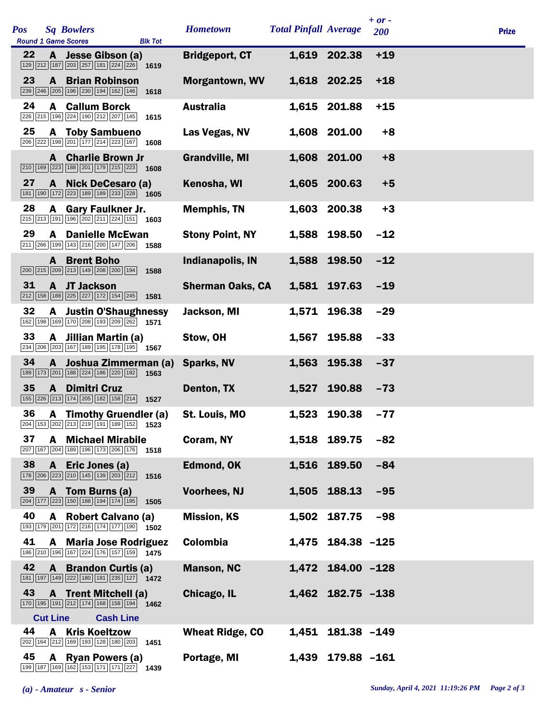| Pos |                 | <b>Sq Bowlers</b><br><b>Round 1 Game Scores</b>                                                                                                            | <b>Blk Tot</b> | <b>Hometown</b>         | <b>Total Pinfall Average</b> |                   | $+ or -$<br>200 | <b>Prize</b> |
|-----|-----------------|------------------------------------------------------------------------------------------------------------------------------------------------------------|----------------|-------------------------|------------------------------|-------------------|-----------------|--------------|
| 22  |                 | A Jesse Gibson (a)<br>$\boxed{129}$ $\boxed{212}$ $\boxed{187}$ $\boxed{203}$ $\boxed{257}$ $\boxed{181}$ $\boxed{224}$ $\boxed{226}$ 1619                 |                | <b>Bridgeport, CT</b>   |                              | 1,619 202.38      | $+19$           |              |
| 23  | $\mathbf{A}$    | <b>Brian Robinson</b><br>239 246 205 196 230 194 162 146                                                                                                   | 1618           | <b>Morgantown, WV</b>   |                              | 1,618 202.25      | $+18$           |              |
| 24  |                 | <b>A</b> Callum Borck<br>226 215 196 224 190 212 207 145                                                                                                   | 1615           | <b>Australia</b>        |                              | 1,615 201.88      | $+15$           |              |
| 25  |                 | <b>A</b> Toby Sambueno<br>$\boxed{206}$ $\boxed{222}$ $\boxed{198}$ $\boxed{201}$ $\boxed{177}$ $\boxed{214}$ $\boxed{223}$ $\boxed{167}$ 1608             |                | Las Vegas, NV           |                              | 1,608 201.00      | $+8$            |              |
|     |                 | <b>A</b> Charlie Brown Jr<br>210 169 223 188 201 179 215 223 1608                                                                                          |                | <b>Grandville, MI</b>   |                              | 1,608 201.00      | $+8$            |              |
| 27  |                 | A Nick DeCesaro (a)<br>$\boxed{181}$ $\boxed{190}$ $\boxed{172}$ $\boxed{223}$ $\boxed{189}$ $\boxed{189}$ $\boxed{233}$ $\boxed{228}$ 1605                |                | Kenosha, WI             |                              | 1,605 200.63      | $+5$            |              |
| 28  |                 | A Gary Faulkner Jr.<br>215 213 191 196 202 211 224 151 1603                                                                                                |                | <b>Memphis, TN</b>      | 1,603                        | 200.38            | $+3$            |              |
| 29  | A               | <b>Danielle McEwan</b><br>$\boxed{211}\ \boxed{266}\ \boxed{199}\ \boxed{143}\ \boxed{216}\ \boxed{200}\ \boxed{147}\ \boxed{206}$                         | 1588           | <b>Stony Point, NY</b>  | 1,588                        | 198.50            | $-12$           |              |
|     |                 | <b>A</b> Brent Boho<br>$\boxed{200}$ $\boxed{215}$ $\boxed{209}$ $\boxed{213}$ $\boxed{149}$ $\boxed{208}$ $\boxed{200}$ $\boxed{194}$                     | 1588           | <b>Indianapolis, IN</b> | 1,588                        | 198.50            | $-12$           |              |
| 31  |                 | A JT Jackson<br>$\boxed{212}$ $\boxed{158}$ $\boxed{188}$ $\boxed{225}$ $\boxed{227}$ $\boxed{172}$ $\boxed{154}$ $\boxed{245}$                            | 1581           | <b>Sherman Oaks, CA</b> |                              | 1,581 197.63      | $-19$           |              |
| 32  | A               | <b>Justin O'Shaughnessy</b><br>162 198 169 170 208 193 209 262                                                                                             | 1571           | Jackson, MI             | 1,571                        | 196.38            | $-29$           |              |
| 33  |                 | A Jillian Martin (a)<br>$\boxed{234}$ $\boxed{206}$ $\boxed{203}$ $\boxed{167}$ $\boxed{189}$ $\boxed{195}$ $\boxed{178}$ $\boxed{195}$ $\boxed{195}$ 1567 |                | Stow, OH                | 1,567                        | 195.88            | $-33$           |              |
| 34  | A               | Joshua Zimmerman (a)<br>$\boxed{189} \ \boxed{173} \ \boxed{201} \ \boxed{188} \ \boxed{224} \ \boxed{186} \ \boxed{220} \ \boxed{182}$                    | 1563           | <b>Sparks, NV</b>       | 1,563                        | 195.38            | $-37$           |              |
| 35  | $\mathbf{A}$    | <b>Dimitri Cruz</b><br>[155] 226 213 174 205 182 158 214 1527                                                                                              |                | Denton, TX              | 1,527                        | 190.88            | $-73$           |              |
| 36  |                 | A Timothy Gruendler (a)<br>204 153 202 213 219 191 189 152 1523                                                                                            |                | St. Louis, MO           |                              | 1,523 190.38      | $-77$           |              |
| 37  |                 | <b>A</b> Michael Mirabile<br>207 167 204 189 196 173 206 176 1518                                                                                          |                | Coram, NY               |                              | 1,518 189.75      | $-82$           |              |
| 38  | A               | Eric Jones (a)<br>$\boxed{178}\boxed{206}\boxed{223}\boxed{210}\boxed{145}\boxed{139}\boxed{203}\boxed{212}$                                               | 1516           | <b>Edmond, OK</b>       |                              | 1,516 189.50      | $-84$           |              |
| 39  |                 | A Tom Burns (a)<br>$\boxed{204}$ $\boxed{177}$ $\boxed{223}$ $\boxed{150}$ $\boxed{188}$ $\boxed{194}$ $\boxed{174}$ $\boxed{195}$                         | 1505           | <b>Voorhees, NJ</b>     |                              | 1,505 188.13      | $-95$           |              |
| 40  |                 | A Robert Calvano (a)<br>193 179 201 172 216 174 177 190 1502                                                                                               |                | <b>Mission, KS</b>      |                              | 1,502 187.75      | $-98$           |              |
| 41  |                 | A Maria Jose Rodriguez<br>186 210 196 167 224 176 157 159 1475                                                                                             |                | Colombia                |                              | 1,475 184.38 -125 |                 |              |
| 42  | $\mathbf{A}$    | <b>Brandon Curtis (a)</b><br>181 197 149 222 180 181 235 127 1472                                                                                          |                | <b>Manson, NC</b>       |                              | 1,472 184.00 -128 |                 |              |
| 43  |                 | A Trent Mitchell (a)<br>$\boxed{170}$ $\boxed{195}$ $\boxed{191}$ $\boxed{212}$ $\boxed{174}$ $\boxed{168}$ $\boxed{158}$ $\boxed{194}$ <b>1462</b>        |                | Chicago, IL             |                              | 1,462 182.75 -138 |                 |              |
|     | <b>Cut Line</b> | <b>Cash Line</b>                                                                                                                                           |                |                         |                              |                   |                 |              |
| 44  | A               | <b>Kris Koeltzow</b><br>202 164 212 169 193 128 180 203 1451                                                                                               |                | <b>Wheat Ridge, CO</b>  | 1,451                        | 181.38 -149       |                 |              |
| 45  |                 | A Ryan Powers (a)<br>199 187 169 162 153 171 171 227 1439                                                                                                  |                | Portage, MI             |                              | 1,439 179.88 -161 |                 |              |